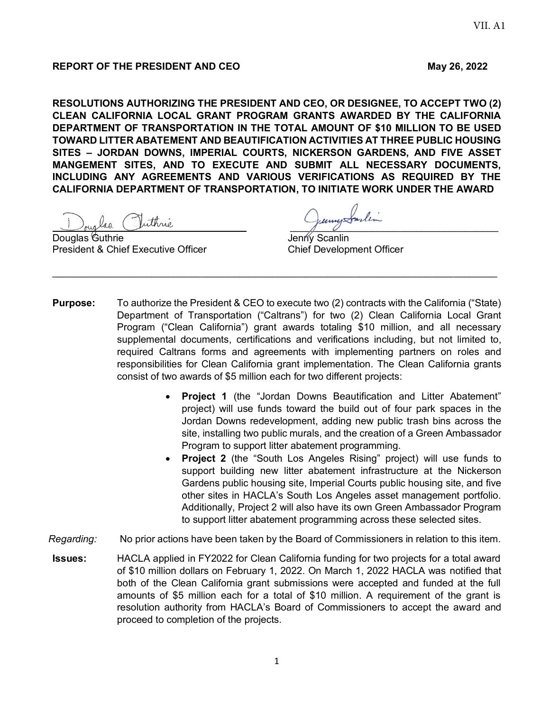## **REPORT OF THE PRESIDENT AND CEO** May 26, 2022

**RESOLUTIONS AUTHORIZING THE PRESIDENT AND CEO, OR DESIGNEE, TO ACCEPT TWO (2) CLEAN CALIFORNIA LOCAL GRANT PROGRAM GRANTS AWARDED BY THE CALIFORNIA DEPARTMENT OF TRANSPORTATION IN THE TOTAL AMOUNT OF \$10 MILLION TO BE USED TOWARD LITTER ABATEMENT AND BEAUTIFICATION ACTIVITIES AT THREE PUBLIC HOUSING SITES – JORDAN DOWNS, IMPERIAL COURTS, NICKERSON GARDENS, AND FIVE ASSET MANGEMENT SITES, AND TO EXECUTE AND SUBMIT ALL NECESSARY DOCUMENTS, INCLUDING ANY AGREEMENTS AND VARIOUS VERIFICATIONS AS REQUIRED BY THE CALIFORNIA DEPARTMENT OF TRANSPORTATION, TO INITIATE WORK UNDER THE AWARD** 

ruglas Juthnie

President & Chief Executive Officer Chief Development Officer

\_\_\_\_\_\_\_\_\_\_\_\_\_\_\_\_\_\_\_\_\_\_\_\_\_\_\_\_\_\_\_\_\_\_\_\_\_\_

Jenny Scanlin

**Purpose:** To authorize the President & CEO to execute two (2) contracts with the California ("State) Department of Transportation ("Caltrans") for two (2) Clean California Local Grant Program ("Clean California") grant awards totaling \$10 million, and all necessary supplemental documents, certifications and verifications including, but not limited to, required Caltrans forms and agreements with implementing partners on roles and responsibilities for Clean California grant implementation. The Clean California grants consist of two awards of \$5 million each for two different projects:

\_\_\_\_\_\_\_\_\_\_\_\_\_\_\_\_\_\_\_\_\_\_\_\_\_\_\_\_\_\_\_\_\_\_\_\_\_\_\_\_\_\_\_\_\_\_\_\_\_\_\_\_\_\_\_\_\_\_\_\_\_\_\_\_\_\_\_\_\_\_\_\_\_\_\_\_\_\_\_\_\_

- **Project 1** (the "Jordan Downs Beautification and Litter Abatement" project) will use funds toward the build out of four park spaces in the Jordan Downs redevelopment, adding new public trash bins across the site, installing two public murals, and the creation of a Green Ambassador Program to support litter abatement programming.
- **Project 2** (the "South Los Angeles Rising" project) will use funds to support building new litter abatement infrastructure at the Nickerson Gardens public housing site, Imperial Courts public housing site, and five other sites in HACLA's South Los Angeles asset management portfolio. Additionally, Project 2 will also have its own Green Ambassador Program to support litter abatement programming across these selected sites.
- *Regarding:* No prior actions have been taken by the Board of Commissioners in relation to this item.
- **Issues:** HACLA applied in FY2022 for Clean California funding for two projects for a total award of \$10 million dollars on February 1, 2022. On March 1, 2022 HACLA was notified that both of the Clean California grant submissions were accepted and funded at the full amounts of \$5 million each for a total of \$10 million. A requirement of the grant is resolution authority from HACLA's Board of Commissioners to accept the award and proceed to completion of the projects.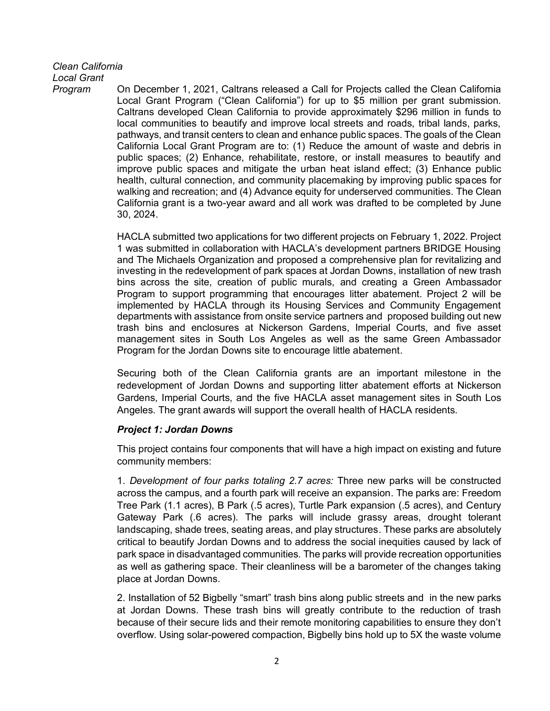# *Clean California*

*Local Grant*

*Program* On December 1, 2021, Caltrans released a Call for Projects called the Clean California Local Grant Program ("Clean California") for up to \$5 million per grant submission. Caltrans developed Clean California to provide approximately \$296 million in funds to local communities to beautify and improve local streets and roads, tribal lands, parks, pathways, and transit centers to clean and enhance public spaces. The goals of the Clean California Local Grant Program are to: (1) Reduce the amount of waste and debris in public spaces; (2) Enhance, rehabilitate, restore, or install measures to beautify and improve public spaces and mitigate the urban heat island effect; (3) Enhance public health, cultural connection, and community placemaking by improving public spaces for walking and recreation; and (4) Advance equity for underserved communities. The Clean California grant is a two-year award and all work was drafted to be completed by June 30, 2024.

> HACLA submitted two applications for two different projects on February 1, 2022. Project 1 was submitted in collaboration with HACLA's development partners BRIDGE Housing and The Michaels Organization and proposed a comprehensive plan for revitalizing and investing in the redevelopment of park spaces at Jordan Downs, installation of new trash bins across the site, creation of public murals, and creating a Green Ambassador Program to support programming that encourages litter abatement. Project 2 will be implemented by HACLA through its Housing Services and Community Engagement departments with assistance from onsite service partners and proposed building out new trash bins and enclosures at Nickerson Gardens, Imperial Courts, and five asset management sites in South Los Angeles as well as the same Green Ambassador Program for the Jordan Downs site to encourage little abatement.

> Securing both of the Clean California grants are an important milestone in the redevelopment of Jordan Downs and supporting litter abatement efforts at Nickerson Gardens, Imperial Courts, and the five HACLA asset management sites in South Los Angeles. The grant awards will support the overall health of HACLA residents.

## *Project 1: Jordan Downs*

This project contains four components that will have a high impact on existing and future community members:

1. *Development of four parks totaling 2.7 acres:* Three new parks will be constructed across the campus, and a fourth park will receive an expansion. The parks are: Freedom Tree Park (1.1 acres), B Park (.5 acres), Turtle Park expansion (.5 acres), and Century Gateway Park (.6 acres). The parks will include grassy areas, drought tolerant landscaping, shade trees, seating areas, and play structures. These parks are absolutely critical to beautify Jordan Downs and to address the social inequities caused by lack of park space in disadvantaged communities. The parks will provide recreation opportunities as well as gathering space. Their cleanliness will be a barometer of the changes taking place at Jordan Downs.

2. Installation of 52 Bigbelly "smart" trash bins along public streets and in the new parks at Jordan Downs. These trash bins will greatly contribute to the reduction of trash because of their secure lids and their remote monitoring capabilities to ensure they don't overflow. Using solar-powered compaction, Bigbelly bins hold up to 5X the waste volume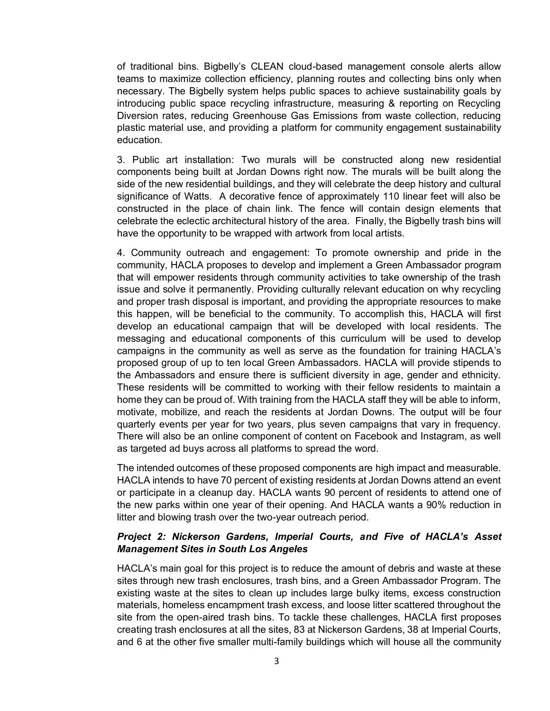of traditional bins. Bigbelly's CLEAN cloud-based management console alerts allow teams to maximize collection efficiency, planning routes and collecting bins only when necessary. The Bigbelly system helps public spaces to achieve sustainability goals by introducing public space recycling infrastructure, measuring & reporting on Recycling Diversion rates, reducing Greenhouse Gas Emissions from waste collection, reducing plastic material use, and providing a platform for community engagement sustainability education.

3. Public art installation: Two murals will be constructed along new residential components being built at Jordan Downs right now. The murals will be built along the side of the new residential buildings, and they will celebrate the deep history and cultural significance of Watts. A decorative fence of approximately 110 linear feet will also be constructed in the place of chain link. The fence will contain design elements that celebrate the eclectic architectural history of the area. Finally, the Bigbelly trash bins will have the opportunity to be wrapped with artwork from local artists.

4. Community outreach and engagement: To promote ownership and pride in the community, HACLA proposes to develop and implement a Green Ambassador program that will empower residents through community activities to take ownership of the trash issue and solve it permanently. Providing culturally relevant education on why recycling and proper trash disposal is important, and providing the appropriate resources to make this happen, will be beneficial to the community. To accomplish this, HACLA will first develop an educational campaign that will be developed with local residents. The messaging and educational components of this curriculum will be used to develop campaigns in the community as well as serve as the foundation for training HACLA's proposed group of up to ten local Green Ambassadors. HACLA will provide stipends to the Ambassadors and ensure there is sufficient diversity in age, gender and ethnicity. These residents will be committed to working with their fellow residents to maintain a home they can be proud of. With training from the HACLA staff they will be able to inform, motivate, mobilize, and reach the residents at Jordan Downs. The output will be four quarterly events per year for two years, plus seven campaigns that vary in frequency. There will also be an online component of content on Facebook and Instagram, as well as targeted ad buys across all platforms to spread the word.

The intended outcomes of these proposed components are high impact and measurable. HACLA intends to have 70 percent of existing residents at Jordan Downs attend an event or participate in a cleanup day. HACLA wants 90 percent of residents to attend one of the new parks within one year of their opening. And HACLA wants a 90% reduction in litter and blowing trash over the two-year outreach period.

## *Project 2: Nickerson Gardens, Imperial Courts, and Five of HACLA's Asset Management Sites in South Los Angeles*

HACLA's main goal for this project is to reduce the amount of debris and waste at these sites through new trash enclosures, trash bins, and a Green Ambassador Program. The existing waste at the sites to clean up includes large bulky items, excess construction materials, homeless encampment trash excess, and loose litter scattered throughout the site from the open-aired trash bins. To tackle these challenges, HACLA first proposes creating trash enclosures at all the sites, 83 at Nickerson Gardens, 38 at Imperial Courts, and 6 at the other five smaller multi-family buildings which will house all the community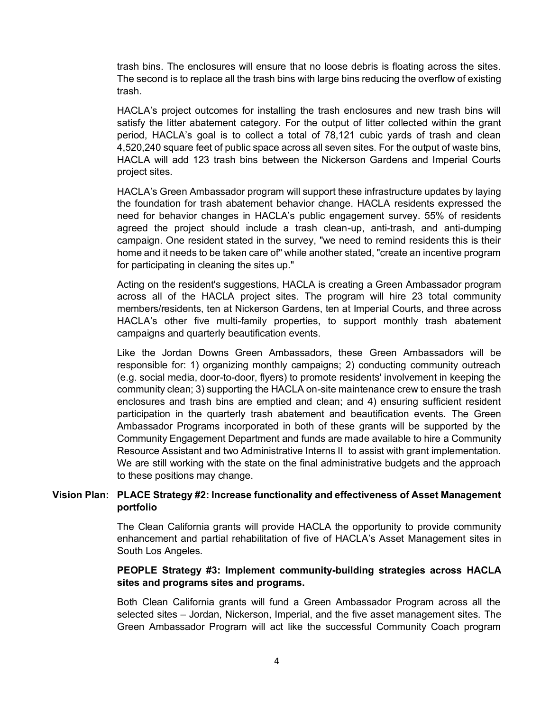trash bins. The enclosures will ensure that no loose debris is floating across the sites. The second is to replace all the trash bins with large bins reducing the overflow of existing trash.

HACLA's project outcomes for installing the trash enclosures and new trash bins will satisfy the litter abatement category. For the output of litter collected within the grant period, HACLA's goal is to collect a total of 78,121 cubic yards of trash and clean 4,520,240 square feet of public space across all seven sites. For the output of waste bins, HACLA will add 123 trash bins between the Nickerson Gardens and Imperial Courts project sites.

HACLA's Green Ambassador program will support these infrastructure updates by laying the foundation for trash abatement behavior change. HACLA residents expressed the need for behavior changes in HACLA's public engagement survey. 55% of residents agreed the project should include a trash clean-up, anti-trash, and anti-dumping campaign. One resident stated in the survey, "we need to remind residents this is their home and it needs to be taken care of" while another stated, "create an incentive program for participating in cleaning the sites up."

Acting on the resident's suggestions, HACLA is creating a Green Ambassador program across all of the HACLA project sites. The program will hire 23 total community members/residents, ten at Nickerson Gardens, ten at Imperial Courts, and three across HACLA's other five multi-family properties, to support monthly trash abatement campaigns and quarterly beautification events.

Like the Jordan Downs Green Ambassadors, these Green Ambassadors will be responsible for: 1) organizing monthly campaigns; 2) conducting community outreach (e.g. social media, door-to-door, flyers) to promote residents' involvement in keeping the community clean; 3) supporting the HACLA on-site maintenance crew to ensure the trash enclosures and trash bins are emptied and clean; and 4) ensuring sufficient resident participation in the quarterly trash abatement and beautification events. The Green Ambassador Programs incorporated in both of these grants will be supported by the Community Engagement Department and funds are made available to hire a Community Resource Assistant and two Administrative Interns II to assist with grant implementation. We are still working with the state on the final administrative budgets and the approach to these positions may change.

### **Vision Plan: PLACE Strategy #2: Increase functionality and effectiveness of Asset Management portfolio**

The Clean California grants will provide HACLA the opportunity to provide community enhancement and partial rehabilitation of five of HACLA's Asset Management sites in South Los Angeles.

## **PEOPLE Strategy #3: Implement community-building strategies across HACLA sites and programs sites and programs.**

Both Clean California grants will fund a Green Ambassador Program across all the selected sites – Jordan, Nickerson, Imperial, and the five asset management sites. The Green Ambassador Program will act like the successful Community Coach program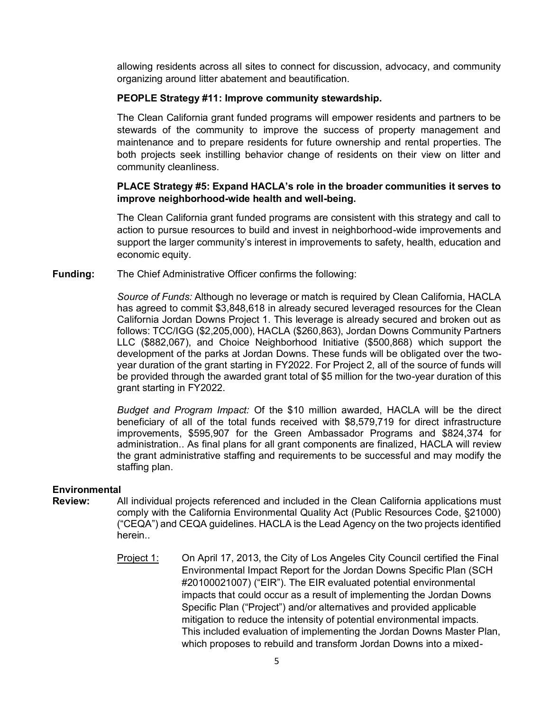allowing residents across all sites to connect for discussion, advocacy, and community organizing around litter abatement and beautification.

## **PEOPLE Strategy #11: Improve community stewardship.**

The Clean California grant funded programs will empower residents and partners to be stewards of the community to improve the success of property management and maintenance and to prepare residents for future ownership and rental properties. The both projects seek instilling behavior change of residents on their view on litter and community cleanliness.

### **PLACE Strategy #5: Expand HACLA's role in the broader communities it serves to improve neighborhood-wide health and well-being.**

The Clean California grant funded programs are consistent with this strategy and call to action to pursue resources to build and invest in neighborhood-wide improvements and support the larger community's interest in improvements to safety, health, education and economic equity.

**Funding:** The Chief Administrative Officer confirms the following:

*Source of Funds:* Although no leverage or match is required by Clean California, HACLA has agreed to commit \$3,848,618 in already secured leveraged resources for the Clean California Jordan Downs Project 1. This leverage is already secured and broken out as follows: TCC/IGG (\$2,205,000), HACLA (\$260,863), Jordan Downs Community Partners LLC (\$882,067), and Choice Neighborhood Initiative (\$500,868) which support the development of the parks at Jordan Downs. These funds will be obligated over the twoyear duration of the grant starting in FY2022. For Project 2, all of the source of funds will be provided through the awarded grant total of \$5 million for the two-year duration of this grant starting in FY2022.

*Budget and Program Impact:* Of the \$10 million awarded, HACLA will be the direct beneficiary of all of the total funds received with \$8,579,719 for direct infrastructure improvements, \$595,907 for the Green Ambassador Programs and \$824,374 for administration.. As final plans for all grant components are finalized, HACLA will review the grant administrative staffing and requirements to be successful and may modify the staffing plan.

#### **Environmental**

- **Review:** All individual projects referenced and included in the Clean California applications must comply with the California Environmental Quality Act (Public Resources Code, §21000) ("CEQA") and CEQA guidelines. HACLA is the Lead Agency on the two projects identified herein..
	- Project 1: On April 17, 2013, the City of Los Angeles City Council certified the Final Environmental Impact Report for the Jordan Downs Specific Plan (SCH #20100021007) ("EIR"). The EIR evaluated potential environmental impacts that could occur as a result of implementing the Jordan Downs Specific Plan ("Project") and/or alternatives and provided applicable mitigation to reduce the intensity of potential environmental impacts. This included evaluation of implementing the Jordan Downs Master Plan, which proposes to rebuild and transform Jordan Downs into a mixed-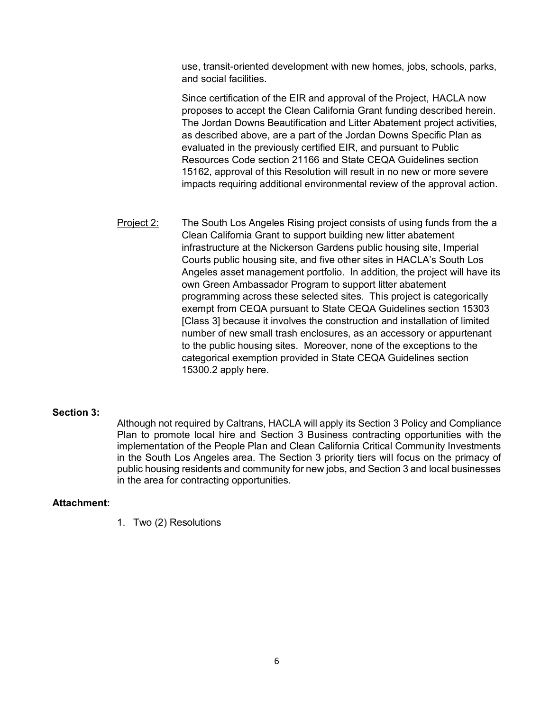use, transit-oriented development with new homes, jobs, schools, parks, and social facilities.

Since certification of the EIR and approval of the Project, HACLA now proposes to accept the Clean California Grant funding described herein. The Jordan Downs Beautification and Litter Abatement project activities, as described above, are a part of the Jordan Downs Specific Plan as evaluated in the previously certified EIR, and pursuant to Public Resources Code section 21166 and State CEQA Guidelines section 15162, approval of this Resolution will result in no new or more severe impacts requiring additional environmental review of the approval action.

Project 2: The South Los Angeles Rising project consists of using funds from the a Clean California Grant to support building new litter abatement infrastructure at the Nickerson Gardens public housing site, Imperial Courts public housing site, and five other sites in HACLA's South Los Angeles asset management portfolio. In addition, the project will have its own Green Ambassador Program to support litter abatement programming across these selected sites. This project is categorically exempt from CEQA pursuant to State CEQA Guidelines section 15303 [Class 3] because it involves the construction and installation of limited number of new small trash enclosures, as an accessory or appurtenant to the public housing sites. Moreover, none of the exceptions to the categorical exemption provided in State CEQA Guidelines section 15300.2 apply here.

#### **Section 3:**

Although not required by Caltrans, HACLA will apply its Section 3 Policy and Compliance Plan to promote local hire and Section 3 Business contracting opportunities with the implementation of the People Plan and Clean California Critical Community Investments in the South Los Angeles area. The Section 3 priority tiers will focus on the primacy of public housing residents and community for new jobs, and Section 3 and local businesses in the area for contracting opportunities.

#### **Attachment:**

1. Two (2) Resolutions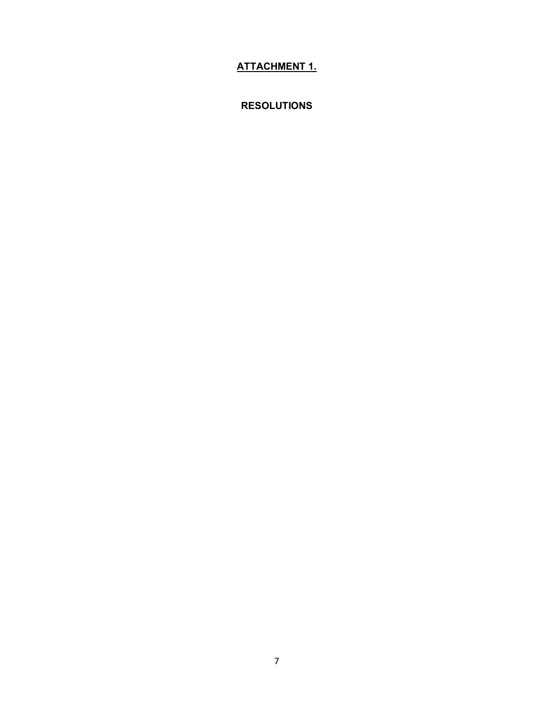# **ATTACHMENT 1.**

**RESOLUTIONS**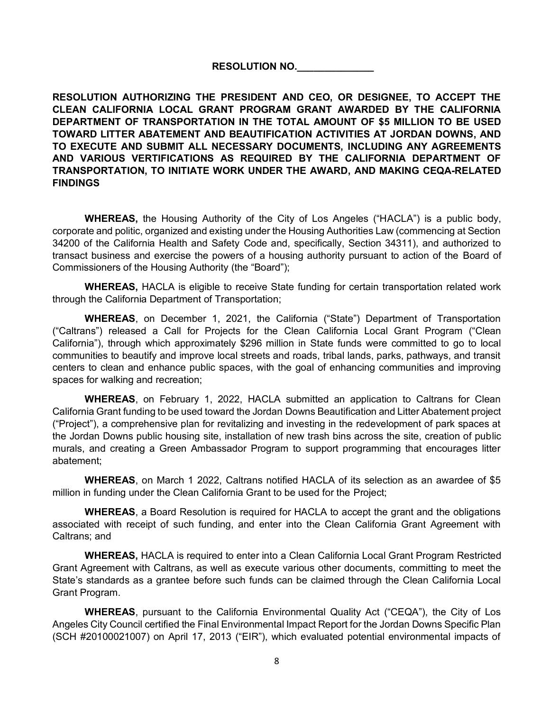## **RESOLUTION NO.\_\_\_\_\_\_\_\_\_\_\_\_\_\_**

**RESOLUTION AUTHORIZING THE PRESIDENT AND CEO, OR DESIGNEE, TO ACCEPT THE CLEAN CALIFORNIA LOCAL GRANT PROGRAM GRANT AWARDED BY THE CALIFORNIA DEPARTMENT OF TRANSPORTATION IN THE TOTAL AMOUNT OF \$5 MILLION TO BE USED TOWARD LITTER ABATEMENT AND BEAUTIFICATION ACTIVITIES AT JORDAN DOWNS, AND TO EXECUTE AND SUBMIT ALL NECESSARY DOCUMENTS, INCLUDING ANY AGREEMENTS AND VARIOUS VERTIFICATIONS AS REQUIRED BY THE CALIFORNIA DEPARTMENT OF TRANSPORTATION, TO INITIATE WORK UNDER THE AWARD, AND MAKING CEQA-RELATED FINDINGS**

**WHEREAS,** the Housing Authority of the City of Los Angeles ("HACLA") is a public body, corporate and politic, organized and existing under the Housing Authorities Law (commencing at Section 34200 of the California Health and Safety Code and, specifically, Section 34311), and authorized to transact business and exercise the powers of a housing authority pursuant to action of the Board of Commissioners of the Housing Authority (the "Board");

**WHEREAS,** HACLA is eligible to receive State funding for certain transportation related work through the California Department of Transportation;

**WHEREAS**, on December 1, 2021, the California ("State") Department of Transportation ("Caltrans") released a Call for Projects for the Clean California Local Grant Program ("Clean California"), through which approximately \$296 million in State funds were committed to go to local communities to beautify and improve local streets and roads, tribal lands, parks, pathways, and transit centers to clean and enhance public spaces, with the goal of enhancing communities and improving spaces for walking and recreation;

**WHEREAS**, on February 1, 2022, HACLA submitted an application to Caltrans for Clean California Grant funding to be used toward the Jordan Downs Beautification and Litter Abatement project ("Project"), a comprehensive plan for revitalizing and investing in the redevelopment of park spaces at the Jordan Downs public housing site, installation of new trash bins across the site, creation of public murals, and creating a Green Ambassador Program to support programming that encourages litter abatement;

**WHEREAS**, on March 1 2022, Caltrans notified HACLA of its selection as an awardee of \$5 million in funding under the Clean California Grant to be used for the Project;

**WHEREAS**, a Board Resolution is required for HACLA to accept the grant and the obligations associated with receipt of such funding, and enter into the Clean California Grant Agreement with Caltrans; and

**WHEREAS,** HACLA is required to enter into a Clean California Local Grant Program Restricted Grant Agreement with Caltrans, as well as execute various other documents, committing to meet the State's standards as a grantee before such funds can be claimed through the Clean California Local Grant Program.

**WHEREAS**, pursuant to the California Environmental Quality Act ("CEQA"), the City of Los Angeles City Council certified the Final Environmental Impact Report for the Jordan Downs Specific Plan (SCH #20100021007) on April 17, 2013 ("EIR"), which evaluated potential environmental impacts of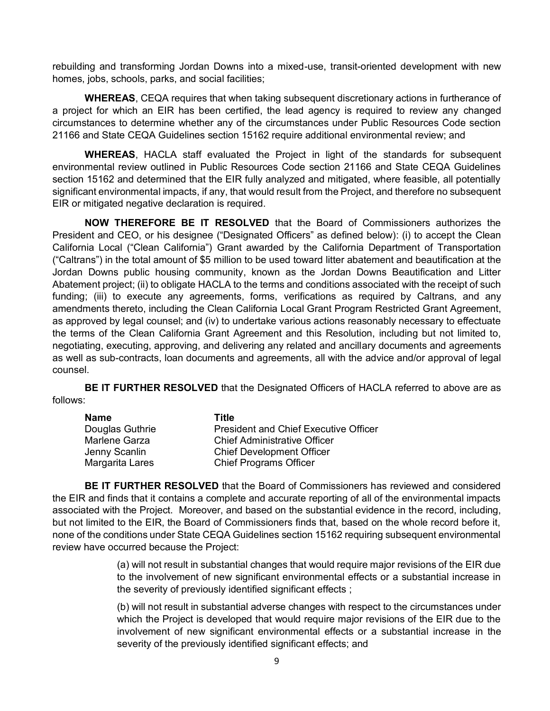rebuilding and transforming Jordan Downs into a mixed-use, transit-oriented development with new homes, jobs, schools, parks, and social facilities;

**WHEREAS**, CEQA requires that when taking subsequent discretionary actions in furtherance of a project for which an EIR has been certified, the lead agency is required to review any changed circumstances to determine whether any of the circumstances under Public Resources Code section 21166 and State CEQA Guidelines section 15162 require additional environmental review; and

**WHEREAS**, HACLA staff evaluated the Project in light of the standards for subsequent environmental review outlined in Public Resources Code section 21166 and State CEQA Guidelines section 15162 and determined that the EIR fully analyzed and mitigated, where feasible, all potentially significant environmental impacts, if any, that would result from the Project, and therefore no subsequent EIR or mitigated negative declaration is required.

**NOW THEREFORE BE IT RESOLVED** that the Board of Commissioners authorizes the President and CEO, or his designee ("Designated Officers" as defined below): (i) to accept the Clean California Local ("Clean California") Grant awarded by the California Department of Transportation ("Caltrans") in the total amount of \$5 million to be used toward litter abatement and beautification at the Jordan Downs public housing community, known as the Jordan Downs Beautification and Litter Abatement project; (ii) to obligate HACLA to the terms and conditions associated with the receipt of such funding; (iii) to execute any agreements, forms, verifications as required by Caltrans, and any amendments thereto, including the Clean California Local Grant Program Restricted Grant Agreement, as approved by legal counsel; and (iv) to undertake various actions reasonably necessary to effectuate the terms of the Clean California Grant Agreement and this Resolution, including but not limited to, negotiating, executing, approving, and delivering any related and ancillary documents and agreements as well as sub-contracts, loan documents and agreements, all with the advice and/or approval of legal counsel.

**BE IT FURTHER RESOLVED** that the Designated Officers of HACLA referred to above are as follows:

| Name            | Title                                        |
|-----------------|----------------------------------------------|
| Douglas Guthrie | <b>President and Chief Executive Officer</b> |
| Marlene Garza   | <b>Chief Administrative Officer</b>          |
| Jenny Scanlin   | <b>Chief Development Officer</b>             |
| Margarita Lares | <b>Chief Programs Officer</b>                |

**BE IT FURTHER RESOLVED** that the Board of Commissioners has reviewed and considered the EIR and finds that it contains a complete and accurate reporting of all of the environmental impacts associated with the Project. Moreover, and based on the substantial evidence in the record, including, but not limited to the EIR, the Board of Commissioners finds that, based on the whole record before it, none of the conditions under State CEQA Guidelines section 15162 requiring subsequent environmental review have occurred because the Project:

> (a) will not result in substantial changes that would require major revisions of the EIR due to the involvement of new significant environmental effects or a substantial increase in the severity of previously identified significant effects ;

> (b) will not result in substantial adverse changes with respect to the circumstances under which the Project is developed that would require major revisions of the EIR due to the involvement of new significant environmental effects or a substantial increase in the severity of the previously identified significant effects; and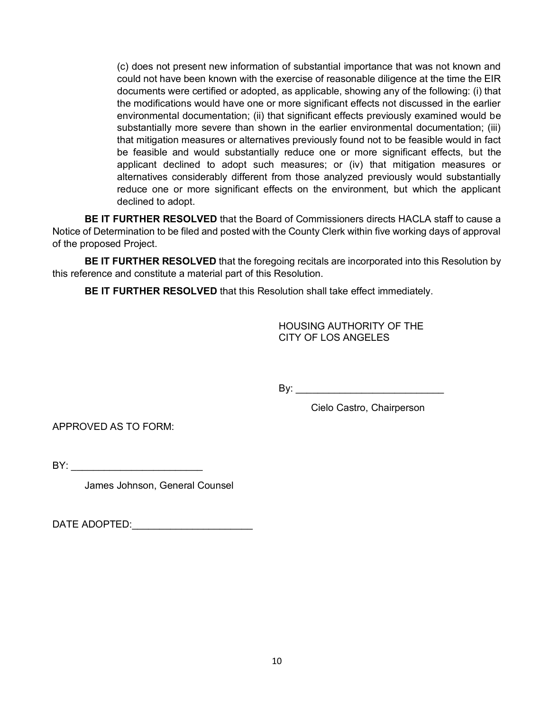(c) does not present new information of substantial importance that was not known and could not have been known with the exercise of reasonable diligence at the time the EIR documents were certified or adopted, as applicable, showing any of the following: (i) that the modifications would have one or more significant effects not discussed in the earlier environmental documentation; (ii) that significant effects previously examined would be substantially more severe than shown in the earlier environmental documentation; (iii) that mitigation measures or alternatives previously found not to be feasible would in fact be feasible and would substantially reduce one or more significant effects, but the applicant declined to adopt such measures; or (iv) that mitigation measures or alternatives considerably different from those analyzed previously would substantially reduce one or more significant effects on the environment, but which the applicant declined to adopt.

**BE IT FURTHER RESOLVED** that the Board of Commissioners directs HACLA staff to cause a Notice of Determination to be filed and posted with the County Clerk within five working days of approval of the proposed Project.

**BE IT FURTHER RESOLVED** that the foregoing recitals are incorporated into this Resolution by this reference and constitute a material part of this Resolution.

**BE IT FURTHER RESOLVED** that this Resolution shall take effect immediately.

HOUSING AUTHORITY OF THE CITY OF LOS ANGELES

By: \_\_\_\_\_\_\_\_\_\_\_\_\_\_\_\_\_\_\_\_\_\_\_\_\_\_\_

Cielo Castro, Chairperson

APPROVED AS TO FORM:

BY: \_\_\_\_\_\_\_\_\_\_\_\_\_\_\_\_\_\_\_\_\_\_\_\_

James Johnson, General Counsel

DATE ADOPTED:\_\_\_\_\_\_\_\_\_\_\_\_\_\_\_\_\_\_\_\_\_\_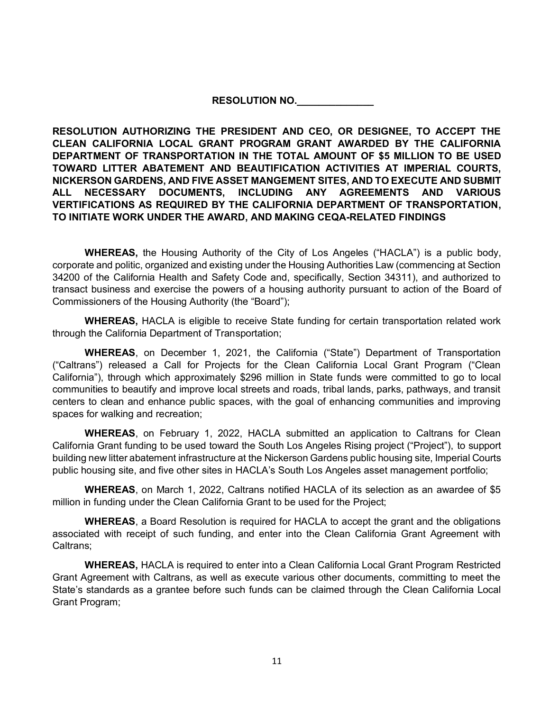## **RESOLUTION NO.\_\_\_\_\_\_\_\_\_\_\_\_\_\_**

**RESOLUTION AUTHORIZING THE PRESIDENT AND CEO, OR DESIGNEE, TO ACCEPT THE CLEAN CALIFORNIA LOCAL GRANT PROGRAM GRANT AWARDED BY THE CALIFORNIA DEPARTMENT OF TRANSPORTATION IN THE TOTAL AMOUNT OF \$5 MILLION TO BE USED TOWARD LITTER ABATEMENT AND BEAUTIFICATION ACTIVITIES AT IMPERIAL COURTS, NICKERSON GARDENS, AND FIVE ASSET MANGEMENT SITES, AND TO EXECUTE AND SUBMIT ALL NECESSARY DOCUMENTS, INCLUDING ANY AGREEMENTS AND VARIOUS VERTIFICATIONS AS REQUIRED BY THE CALIFORNIA DEPARTMENT OF TRANSPORTATION, TO INITIATE WORK UNDER THE AWARD, AND MAKING CEQA-RELATED FINDINGS**

**WHEREAS,** the Housing Authority of the City of Los Angeles ("HACLA") is a public body, corporate and politic, organized and existing under the Housing Authorities Law (commencing at Section 34200 of the California Health and Safety Code and, specifically, Section 34311), and authorized to transact business and exercise the powers of a housing authority pursuant to action of the Board of Commissioners of the Housing Authority (the "Board");

**WHEREAS,** HACLA is eligible to receive State funding for certain transportation related work through the California Department of Transportation;

**WHEREAS**, on December 1, 2021, the California ("State") Department of Transportation ("Caltrans") released a Call for Projects for the Clean California Local Grant Program ("Clean California"), through which approximately \$296 million in State funds were committed to go to local communities to beautify and improve local streets and roads, tribal lands, parks, pathways, and transit centers to clean and enhance public spaces, with the goal of enhancing communities and improving spaces for walking and recreation;

**WHEREAS**, on February 1, 2022, HACLA submitted an application to Caltrans for Clean California Grant funding to be used toward the South Los Angeles Rising project ("Project"), to support building new litter abatement infrastructure at the Nickerson Gardens public housing site, Imperial Courts public housing site, and five other sites in HACLA's South Los Angeles asset management portfolio;

**WHEREAS**, on March 1, 2022, Caltrans notified HACLA of its selection as an awardee of \$5 million in funding under the Clean California Grant to be used for the Project;

**WHEREAS**, a Board Resolution is required for HACLA to accept the grant and the obligations associated with receipt of such funding, and enter into the Clean California Grant Agreement with Caltrans;

**WHEREAS,** HACLA is required to enter into a Clean California Local Grant Program Restricted Grant Agreement with Caltrans, as well as execute various other documents, committing to meet the State's standards as a grantee before such funds can be claimed through the Clean California Local Grant Program;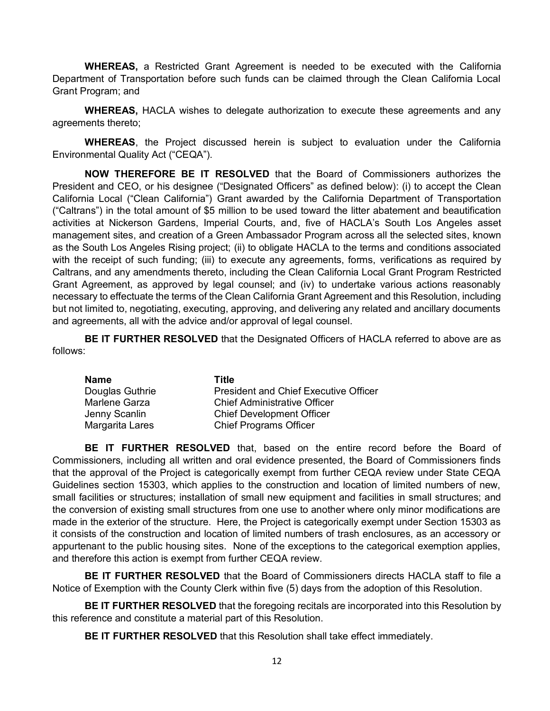**WHEREAS,** a Restricted Grant Agreement is needed to be executed with the California Department of Transportation before such funds can be claimed through the Clean California Local Grant Program; and

**WHEREAS,** HACLA wishes to delegate authorization to execute these agreements and any agreements thereto;

**WHEREAS**, the Project discussed herein is subject to evaluation under the California Environmental Quality Act ("CEQA").

**NOW THEREFORE BE IT RESOLVED** that the Board of Commissioners authorizes the President and CEO, or his designee ("Designated Officers" as defined below): (i) to accept the Clean California Local ("Clean California") Grant awarded by the California Department of Transportation ("Caltrans") in the total amount of \$5 million to be used toward the litter abatement and beautification activities at Nickerson Gardens, Imperial Courts, and, five of HACLA's South Los Angeles asset management sites, and creation of a Green Ambassador Program across all the selected sites, known as the South Los Angeles Rising project; (ii) to obligate HACLA to the terms and conditions associated with the receipt of such funding; (iii) to execute any agreements, forms, verifications as required by Caltrans, and any amendments thereto, including the Clean California Local Grant Program Restricted Grant Agreement, as approved by legal counsel; and (iv) to undertake various actions reasonably necessary to effectuate the terms of the Clean California Grant Agreement and this Resolution, including but not limited to, negotiating, executing, approving, and delivering any related and ancillary documents and agreements, all with the advice and/or approval of legal counsel.

**BE IT FURTHER RESOLVED** that the Designated Officers of HACLA referred to above are as follows:

| Name            | Title                                        |
|-----------------|----------------------------------------------|
| Douglas Guthrie | <b>President and Chief Executive Officer</b> |
| Marlene Garza   | <b>Chief Administrative Officer</b>          |
| Jenny Scanlin   | <b>Chief Development Officer</b>             |
| Margarita Lares | <b>Chief Programs Officer</b>                |

**BE IT FURTHER RESOLVED** that, based on the entire record before the Board of Commissioners, including all written and oral evidence presented, the Board of Commissioners finds that the approval of the Project is categorically exempt from further CEQA review under State CEQA Guidelines section 15303, which applies to the construction and location of limited numbers of new, small facilities or structures; installation of small new equipment and facilities in small structures; and the conversion of existing small structures from one use to another where only minor modifications are made in the exterior of the structure. Here, the Project is categorically exempt under Section 15303 as it consists of the construction and location of limited numbers of trash enclosures, as an accessory or appurtenant to the public housing sites. None of the exceptions to the categorical exemption applies, and therefore this action is exempt from further CEQA review.

**BE IT FURTHER RESOLVED** that the Board of Commissioners directs HACLA staff to file a Notice of Exemption with the County Clerk within five (5) days from the adoption of this Resolution.

**BE IT FURTHER RESOLVED** that the foregoing recitals are incorporated into this Resolution by this reference and constitute a material part of this Resolution.

**BE IT FURTHER RESOLVED** that this Resolution shall take effect immediately.